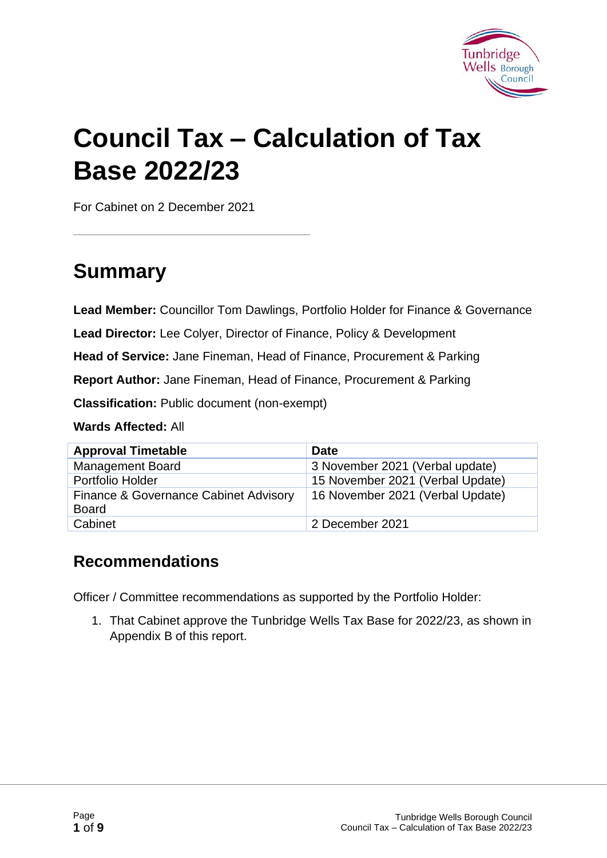

# **Council Tax – Calculation of Tax Base 2022/23**

For Cabinet on 2 December 2021

# **Summary**

**Lead Member:** Councillor Tom Dawlings, Portfolio Holder for Finance & Governance

**Lead Director:** Lee Colyer, Director of Finance, Policy & Development

**Head of Service:** Jane Fineman, Head of Finance, Procurement & Parking

**Report Author:** Jane Fineman, Head of Finance, Procurement & Parking

**Classification:** Public document (non-exempt)

**Wards Affected:** All

| <b>Approval Timetable</b>                             | Date                             |
|-------------------------------------------------------|----------------------------------|
| <b>Management Board</b>                               | 3 November 2021 (Verbal update)  |
| Portfolio Holder                                      | 15 November 2021 (Verbal Update) |
| Finance & Governance Cabinet Advisory<br><b>Board</b> | 16 November 2021 (Verbal Update) |
| Cabinet                                               | 2 December 2021                  |

#### **Recommendations**

Officer / Committee recommendations as supported by the Portfolio Holder:

1. That Cabinet approve the Tunbridge Wells Tax Base for 2022/23, as shown in Appendix B of this report.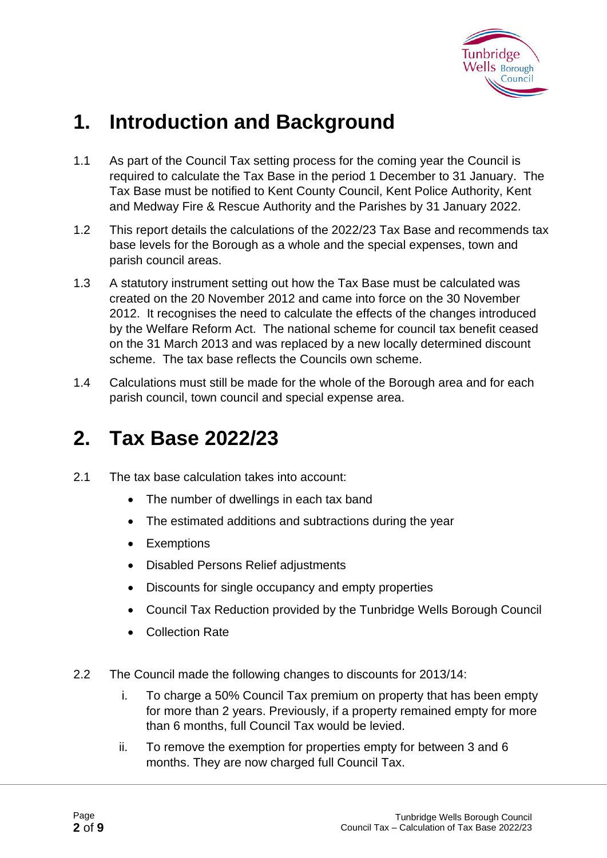

# **1. Introduction and Background**

- 1.1 As part of the Council Tax setting process for the coming year the Council is required to calculate the Tax Base in the period 1 December to 31 January. The Tax Base must be notified to Kent County Council, Kent Police Authority, Kent and Medway Fire & Rescue Authority and the Parishes by 31 January 2022.
- 1.2 This report details the calculations of the 2022/23 Tax Base and recommends tax base levels for the Borough as a whole and the special expenses, town and parish council areas.
- 1.3 A statutory instrument setting out how the Tax Base must be calculated was created on the 20 November 2012 and came into force on the 30 November 2012. It recognises the need to calculate the effects of the changes introduced by the Welfare Reform Act. The national scheme for council tax benefit ceased on the 31 March 2013 and was replaced by a new locally determined discount scheme. The tax base reflects the Councils own scheme.
- 1.4 Calculations must still be made for the whole of the Borough area and for each parish council, town council and special expense area.

## **2. Tax Base 2022/23**

- 2.1 The tax base calculation takes into account:
	- The number of dwellings in each tax band
	- The estimated additions and subtractions during the year
	- Exemptions
	- Disabled Persons Relief adjustments
	- Discounts for single occupancy and empty properties
	- Council Tax Reduction provided by the Tunbridge Wells Borough Council
	- Collection Rate
- 2.2 The Council made the following changes to discounts for 2013/14:
	- i. To charge a 50% Council Tax premium on property that has been empty for more than 2 years. Previously, if a property remained empty for more than 6 months, full Council Tax would be levied.
	- ii. To remove the exemption for properties empty for between 3 and 6 months. They are now charged full Council Tax.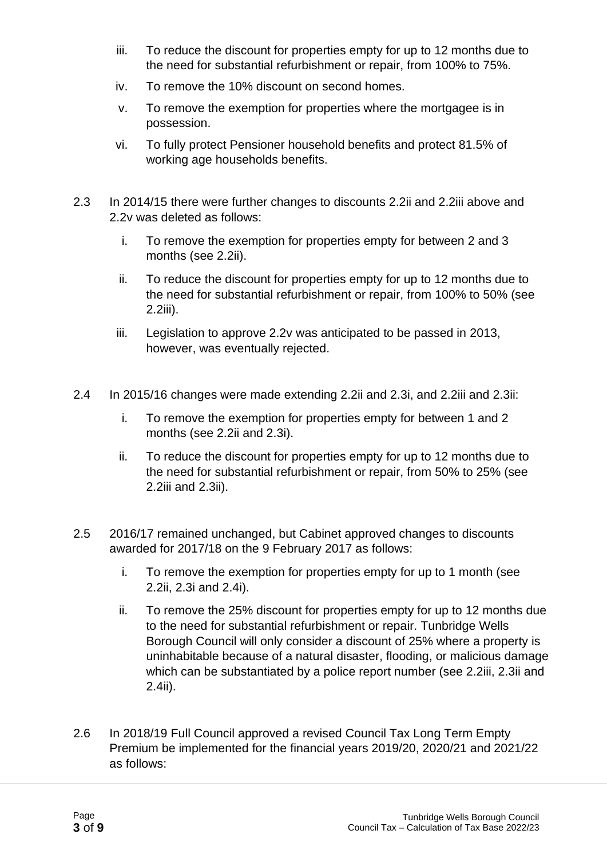- iii. To reduce the discount for properties empty for up to 12 months due to the need for substantial refurbishment or repair, from 100% to 75%.
- iv. To remove the 10% discount on second homes.
- v. To remove the exemption for properties where the mortgagee is in possession.
- vi. To fully protect Pensioner household benefits and protect 81.5% of working age households benefits.
- 2.3 In 2014/15 there were further changes to discounts 2.2ii and 2.2iii above and 2.2v was deleted as follows:
	- i. To remove the exemption for properties empty for between 2 and 3 months (see 2.2ii).
	- ii. To reduce the discount for properties empty for up to 12 months due to the need for substantial refurbishment or repair, from 100% to 50% (see 2.2iii).
	- iii. Legislation to approve 2.2v was anticipated to be passed in 2013, however, was eventually rejected.
- 2.4 In 2015/16 changes were made extending 2.2ii and 2.3i, and 2.2iii and 2.3ii:
	- i. To remove the exemption for properties empty for between 1 and 2 months (see 2.2ii and 2.3i).
	- ii. To reduce the discount for properties empty for up to 12 months due to the need for substantial refurbishment or repair, from 50% to 25% (see 2.2iii and 2.3ii).
- 2.5 2016/17 remained unchanged, but Cabinet approved changes to discounts awarded for 2017/18 on the 9 February 2017 as follows:
	- i. To remove the exemption for properties empty for up to 1 month (see 2.2ii, 2.3i and 2.4i).
	- ii. To remove the 25% discount for properties empty for up to 12 months due to the need for substantial refurbishment or repair. Tunbridge Wells Borough Council will only consider a discount of 25% where a property is uninhabitable because of a natural disaster, flooding, or malicious damage which can be substantiated by a police report number (see 2.2iii, 2.3ii and 2.4ii).
- 2.6 In 2018/19 Full Council approved a revised Council Tax Long Term Empty Premium be implemented for the financial years 2019/20, 2020/21 and 2021/22 as follows: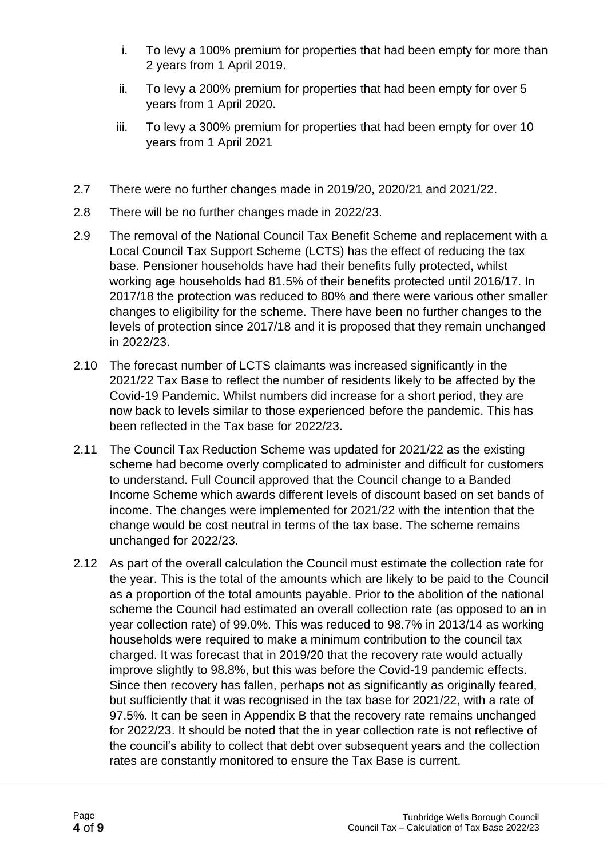- i. To levy a 100% premium for properties that had been empty for more than 2 years from 1 April 2019.
- ii. To levy a 200% premium for properties that had been empty for over 5 years from 1 April 2020.
- iii. To levy a 300% premium for properties that had been empty for over 10 years from 1 April 2021
- 2.7 There were no further changes made in 2019/20, 2020/21 and 2021/22.
- 2.8 There will be no further changes made in 2022/23.
- 2.9 The removal of the National Council Tax Benefit Scheme and replacement with a Local Council Tax Support Scheme (LCTS) has the effect of reducing the tax base. Pensioner households have had their benefits fully protected, whilst working age households had 81.5% of their benefits protected until 2016/17. In 2017/18 the protection was reduced to 80% and there were various other smaller changes to eligibility for the scheme. There have been no further changes to the levels of protection since 2017/18 and it is proposed that they remain unchanged in 2022/23.
- 2.10 The forecast number of LCTS claimants was increased significantly in the 2021/22 Tax Base to reflect the number of residents likely to be affected by the Covid-19 Pandemic. Whilst numbers did increase for a short period, they are now back to levels similar to those experienced before the pandemic. This has been reflected in the Tax base for 2022/23.
- 2.11 The Council Tax Reduction Scheme was updated for 2021/22 as the existing scheme had become overly complicated to administer and difficult for customers to understand. Full Council approved that the Council change to a Banded Income Scheme which awards different levels of discount based on set bands of income. The changes were implemented for 2021/22 with the intention that the change would be cost neutral in terms of the tax base. The scheme remains unchanged for 2022/23.
- 2.12 As part of the overall calculation the Council must estimate the collection rate for the year. This is the total of the amounts which are likely to be paid to the Council as a proportion of the total amounts payable. Prior to the abolition of the national scheme the Council had estimated an overall collection rate (as opposed to an in year collection rate) of 99.0%. This was reduced to 98.7% in 2013/14 as working households were required to make a minimum contribution to the council tax charged. It was forecast that in 2019/20 that the recovery rate would actually improve slightly to 98.8%, but this was before the Covid-19 pandemic effects. Since then recovery has fallen, perhaps not as significantly as originally feared, but sufficiently that it was recognised in the tax base for 2021/22, with a rate of 97.5%. It can be seen in Appendix B that the recovery rate remains unchanged for 2022/23. It should be noted that the in year collection rate is not reflective of the council's ability to collect that debt over subsequent years and the collection rates are constantly monitored to ensure the Tax Base is current.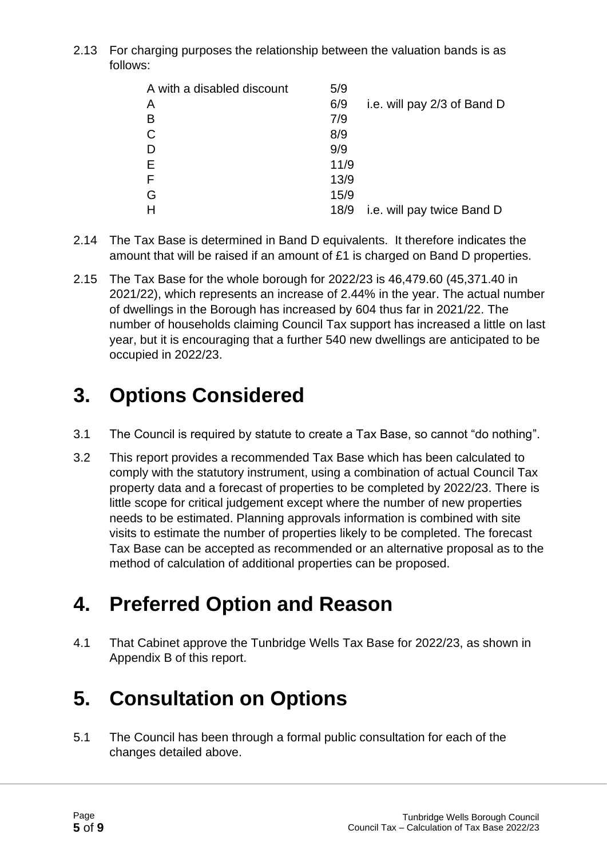2.13 For charging purposes the relationship between the valuation bands is as follows:

| A with a disabled discount | 5/9  |                             |
|----------------------------|------|-----------------------------|
| Α                          | 6/9  | i.e. will pay 2/3 of Band D |
| в                          | 7/9  |                             |
| $\mathsf C$                | 8/9  |                             |
| D                          | 9/9  |                             |
| E                          | 11/9 |                             |
| F                          | 13/9 |                             |
| G                          | 15/9 |                             |
|                            | 18/9 | i.e. will pay twice Band D  |

- 2.14 The Tax Base is determined in Band D equivalents. It therefore indicates the amount that will be raised if an amount of £1 is charged on Band D properties.
- 2.15 The Tax Base for the whole borough for 2022/23 is 46,479.60 (45,371.40 in 2021/22), which represents an increase of 2.44% in the year. The actual number of dwellings in the Borough has increased by 604 thus far in 2021/22. The number of households claiming Council Tax support has increased a little on last year, but it is encouraging that a further 540 new dwellings are anticipated to be occupied in 2022/23.

# **3. Options Considered**

- 3.1 The Council is required by statute to create a Tax Base, so cannot "do nothing".
- 3.2 This report provides a recommended Tax Base which has been calculated to comply with the statutory instrument, using a combination of actual Council Tax property data and a forecast of properties to be completed by 2022/23. There is little scope for critical judgement except where the number of new properties needs to be estimated. Planning approvals information is combined with site visits to estimate the number of properties likely to be completed. The forecast Tax Base can be accepted as recommended or an alternative proposal as to the method of calculation of additional properties can be proposed.

# **4. Preferred Option and Reason**

4.1 That Cabinet approve the Tunbridge Wells Tax Base for 2022/23, as shown in Appendix B of this report.

# **5. Consultation on Options**

5.1 The Council has been through a formal public consultation for each of the changes detailed above.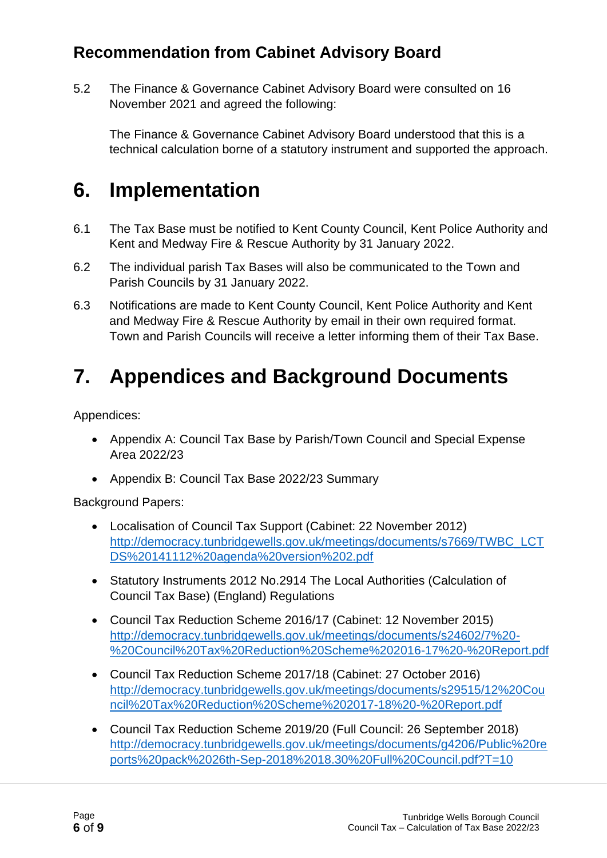### **Recommendation from Cabinet Advisory Board**

5.2 The Finance & Governance Cabinet Advisory Board were consulted on 16 November 2021 and agreed the following:

The Finance & Governance Cabinet Advisory Board understood that this is a technical calculation borne of a statutory instrument and supported the approach.

## **6. Implementation**

- 6.1 The Tax Base must be notified to Kent County Council, Kent Police Authority and Kent and Medway Fire & Rescue Authority by 31 January 2022.
- 6.2 The individual parish Tax Bases will also be communicated to the Town and Parish Councils by 31 January 2022.
- 6.3 Notifications are made to Kent County Council, Kent Police Authority and Kent and Medway Fire & Rescue Authority by email in their own required format. Town and Parish Councils will receive a letter informing them of their Tax Base.

# **7. Appendices and Background Documents**

Appendices:

- Appendix A: Council Tax Base by Parish/Town Council and Special Expense Area 2022/23
- Appendix B: Council Tax Base 2022/23 Summary

Background Papers:

- Localisation of Council Tax Support (Cabinet: 22 November 2012) [http://democracy.tunbridgewells.gov.uk/meetings/documents/s7669/TWBC\\_LCT](http://democracy.tunbridgewells.gov.uk/meetings/documents/s7669/TWBC_LCTDS%20141112%20agenda%20version%202.pdf) [DS%20141112%20agenda%20version%202.pdf](http://democracy.tunbridgewells.gov.uk/meetings/documents/s7669/TWBC_LCTDS%20141112%20agenda%20version%202.pdf)
- Statutory Instruments 2012 No.2914 The Local Authorities (Calculation of Council Tax Base) (England) Regulations
- Council Tax Reduction Scheme 2016/17 (Cabinet: 12 November 2015) [http://democracy.tunbridgewells.gov.uk/meetings/documents/s24602/7%20-](http://democracy.tunbridgewells.gov.uk/meetings/documents/s24602/7%20-%20Council%20Tax%20Reduction%20Scheme%202016-17%20-%20Report.pdf) [%20Council%20Tax%20Reduction%20Scheme%202016-17%20-%20Report.pdf](http://democracy.tunbridgewells.gov.uk/meetings/documents/s24602/7%20-%20Council%20Tax%20Reduction%20Scheme%202016-17%20-%20Report.pdf)
- Council Tax Reduction Scheme 2017/18 (Cabinet: 27 October 2016) [http://democracy.tunbridgewells.gov.uk/meetings/documents/s29515/12%20Cou](http://democracy.tunbridgewells.gov.uk/meetings/documents/s29515/12%20Council%20Tax%20Reduction%20Scheme%202017-18%20-%20Report.pdf) [ncil%20Tax%20Reduction%20Scheme%202017-18%20-%20Report.pdf](http://democracy.tunbridgewells.gov.uk/meetings/documents/s29515/12%20Council%20Tax%20Reduction%20Scheme%202017-18%20-%20Report.pdf)
- Council Tax Reduction Scheme 2019/20 (Full Council: 26 September 2018) [http://democracy.tunbridgewells.gov.uk/meetings/documents/g4206/Public%20re](http://democracy.tunbridgewells.gov.uk/meetings/documents/g4206/Public%20reports%20pack%2026th-Sep-2018%2018.30%20Full%20Council.pdf?T=10) [ports%20pack%2026th-Sep-2018%2018.30%20Full%20Council.pdf?T=10](http://democracy.tunbridgewells.gov.uk/meetings/documents/g4206/Public%20reports%20pack%2026th-Sep-2018%2018.30%20Full%20Council.pdf?T=10)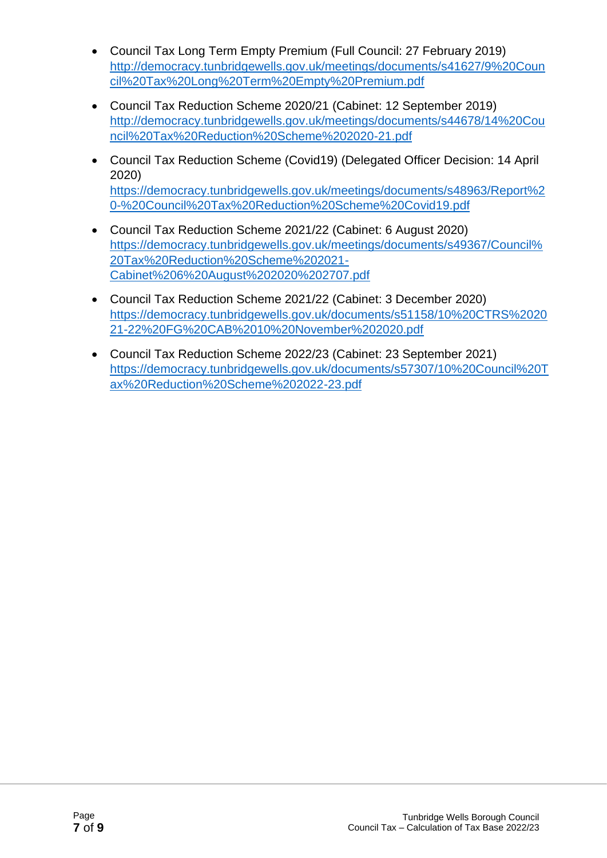- Council Tax Long Term Empty Premium (Full Council: 27 February 2019) [http://democracy.tunbridgewells.gov.uk/meetings/documents/s41627/9%20Coun](http://democracy.tunbridgewells.gov.uk/meetings/documents/s41627/9%20Council%20Tax%20Long%20Term%20Empty%20Premium.pdf) [cil%20Tax%20Long%20Term%20Empty%20Premium.pdf](http://democracy.tunbridgewells.gov.uk/meetings/documents/s41627/9%20Council%20Tax%20Long%20Term%20Empty%20Premium.pdf)
- Council Tax Reduction Scheme 2020/21 (Cabinet: 12 September 2019) [http://democracy.tunbridgewells.gov.uk/meetings/documents/s44678/14%20Cou](http://democracy.tunbridgewells.gov.uk/meetings/documents/s44678/14%20Council%20Tax%20Reduction%20Scheme%202020-21.pdf) [ncil%20Tax%20Reduction%20Scheme%202020-21.pdf](http://democracy.tunbridgewells.gov.uk/meetings/documents/s44678/14%20Council%20Tax%20Reduction%20Scheme%202020-21.pdf)
- Council Tax Reduction Scheme (Covid19) (Delegated Officer Decision: 14 April 2020) [https://democracy.tunbridgewells.gov.uk/meetings/documents/s48963/Report%2](https://democracy.tunbridgewells.gov.uk/meetings/documents/s48963/Report%20-%20Council%20Tax%20Reduction%20Scheme%20Covid19.pdf) [0-%20Council%20Tax%20Reduction%20Scheme%20Covid19.pdf](https://democracy.tunbridgewells.gov.uk/meetings/documents/s48963/Report%20-%20Council%20Tax%20Reduction%20Scheme%20Covid19.pdf)
- Council Tax Reduction Scheme 2021/22 (Cabinet: 6 August 2020) [https://democracy.tunbridgewells.gov.uk/meetings/documents/s49367/Council%](https://democracy.tunbridgewells.gov.uk/meetings/documents/s49367/Council%20Tax%20Reduction%20Scheme%202021-Cabinet%206%20August%202020%202707.pdf) [20Tax%20Reduction%20Scheme%202021-](https://democracy.tunbridgewells.gov.uk/meetings/documents/s49367/Council%20Tax%20Reduction%20Scheme%202021-Cabinet%206%20August%202020%202707.pdf) [Cabinet%206%20August%202020%202707.pdf](https://democracy.tunbridgewells.gov.uk/meetings/documents/s49367/Council%20Tax%20Reduction%20Scheme%202021-Cabinet%206%20August%202020%202707.pdf)
- Council Tax Reduction Scheme 2021/22 (Cabinet: 3 December 2020) [https://democracy.tunbridgewells.gov.uk/documents/s51158/10%20CTRS%2020](https://democracy.tunbridgewells.gov.uk/documents/s51158/10%20CTRS%202021-22%20FG%20CAB%2010%20November%202020.pdf) [21-22%20FG%20CAB%2010%20November%202020.pdf](https://democracy.tunbridgewells.gov.uk/documents/s51158/10%20CTRS%202021-22%20FG%20CAB%2010%20November%202020.pdf)
- Council Tax Reduction Scheme 2022/23 (Cabinet: 23 September 2021) [https://democracy.tunbridgewells.gov.uk/documents/s57307/10%20Council%20T](https://democracy.tunbridgewells.gov.uk/documents/s57307/10%20Council%20Tax%20Reduction%20Scheme%202022-23.pdf) [ax%20Reduction%20Scheme%202022-23.pdf](https://democracy.tunbridgewells.gov.uk/documents/s57307/10%20Council%20Tax%20Reduction%20Scheme%202022-23.pdf)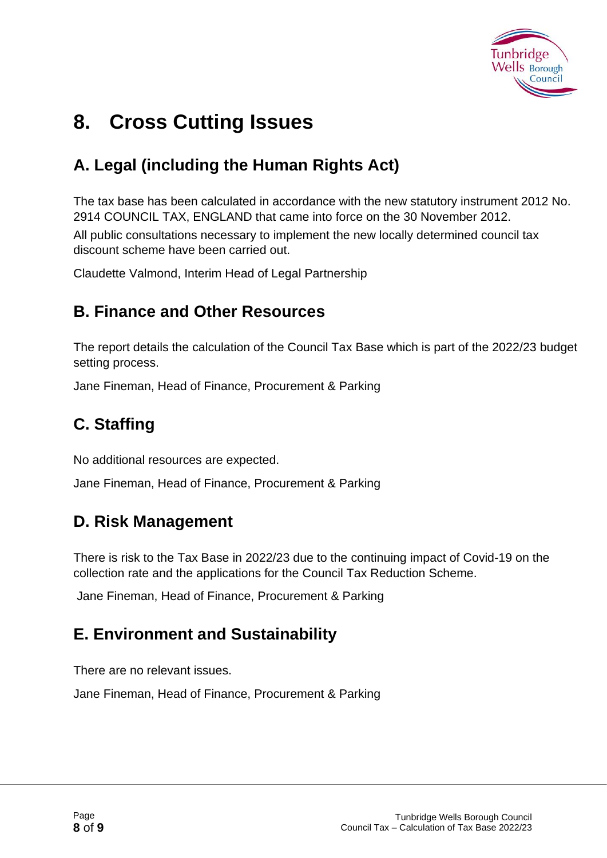

# **8. Cross Cutting Issues**

### **A. Legal (including the Human Rights Act)**

The tax base has been calculated in accordance with the new statutory instrument 2012 No. 2914 COUNCIL TAX, ENGLAND that came into force on the 30 November 2012. All public consultations necessary to implement the new locally determined council tax discount scheme have been carried out.

Claudette Valmond, Interim Head of Legal Partnership

#### **B. Finance and Other Resources**

The report details the calculation of the Council Tax Base which is part of the 2022/23 budget setting process.

Jane Fineman, Head of Finance, Procurement & Parking

### **C. Staffing**

No additional resources are expected.

Jane Fineman, Head of Finance, Procurement & Parking

### **D. Risk Management**

There is risk to the Tax Base in 2022/23 due to the continuing impact of Covid-19 on the collection rate and the applications for the Council Tax Reduction Scheme.

Jane Fineman, Head of Finance, Procurement & Parking

### **E. Environment and Sustainability**

There are no relevant issues.

Jane Fineman, Head of Finance, Procurement & Parking